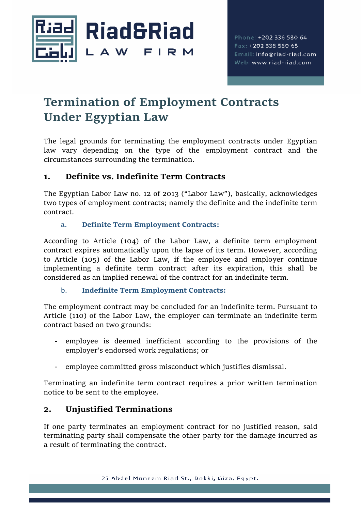

# **Termination of Employment Contracts Under Egyptian Law**

The legal grounds for terminating the employment contracts under Egyptian law vary depending on the type of the employment contract and the circumstances surrounding the termination.

# **1. Definite vs. Indefinite Term Contracts**

The Egyptian Labor Law no. 12 of 2013 ("Labor Law"), basically, acknowledges two types of employment contracts; namely the definite and the indefinite term contract.

#### a. **Definite Term Employment Contracts:**

According to Article (104) of the Labor Law, a definite term employment contract expires automatically upon the lapse of its term. However, according to Article (105) of the Labor Law, if the employee and employer continue implementing a definite term contract after its expiration, this shall be considered as an implied renewal of the contract for an indefinite term.

#### b. **Indefinite Term Employment Contracts:**

The employment contract may be concluded for an indefinite term. Pursuant to Article (110) of the Labor Law, the employer can terminate an indefinite term contract based on two grounds:

- employee is deemed inefficient according to the provisions of the employer's endorsed work regulations; or
- employee committed gross misconduct which justifies dismissal.

Terminating an indefinite term contract requires a prior written termination notice to be sent to the employee.

# **2. Unjustified Terminations**

If one party terminates an employment contract for no justified reason, said terminating party shall compensate the other party for the damage incurred as a result of terminating the contract.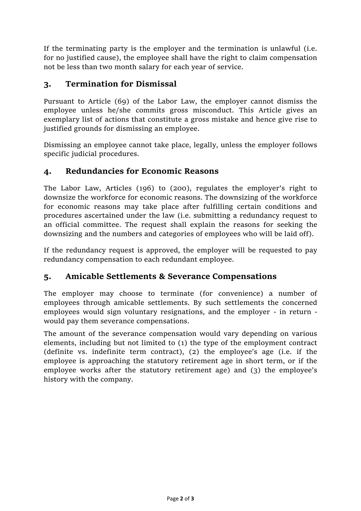If the terminating party is the employer and the termination is unlawful (i.e. for no justified cause), the employee shall have the right to claim compensation not be less than two month salary for each year of service.

## **3. Termination for Dismissal**

Pursuant to Article (69) of the Labor Law, the employer cannot dismiss the employee unless he/she commits gross misconduct. This Article gives an exemplary list of actions that constitute a gross mistake and hence give rise to justified grounds for dismissing an employee.

Dismissing an employee cannot take place, legally, unless the employer follows specific judicial procedures.

### **4. Redundancies for Economic Reasons**

The Labor Law, Articles (196) to (200), regulates the employer's right to downsize the workforce for economic reasons. The downsizing of the workforce for economic reasons may take place after fulfilling certain conditions and procedures ascertained under the law (i.e. submitting a redundancy request to an official committee. The request shall explain the reasons for seeking the downsizing and the numbers and categories of employees who will be laid off).

If the redundancy request is approved, the employer will be requested to pay redundancy compensation to each redundant employee.

### **5. Amicable Settlements & Severance Compensations**

The employer may choose to terminate (for convenience) a number of employees through amicable settlements. By such settlements the concerned employees would sign voluntary resignations, and the employer - in return would pay them severance compensations.

The amount of the severance compensation would vary depending on various elements, including but not limited to (1) the type of the employment contract (definite vs. indefinite term contract), (2) the employee's age (i.e. if the employee is approaching the statutory retirement age in short term, or if the employee works after the statutory retirement age) and (3) the employee's history with the company.